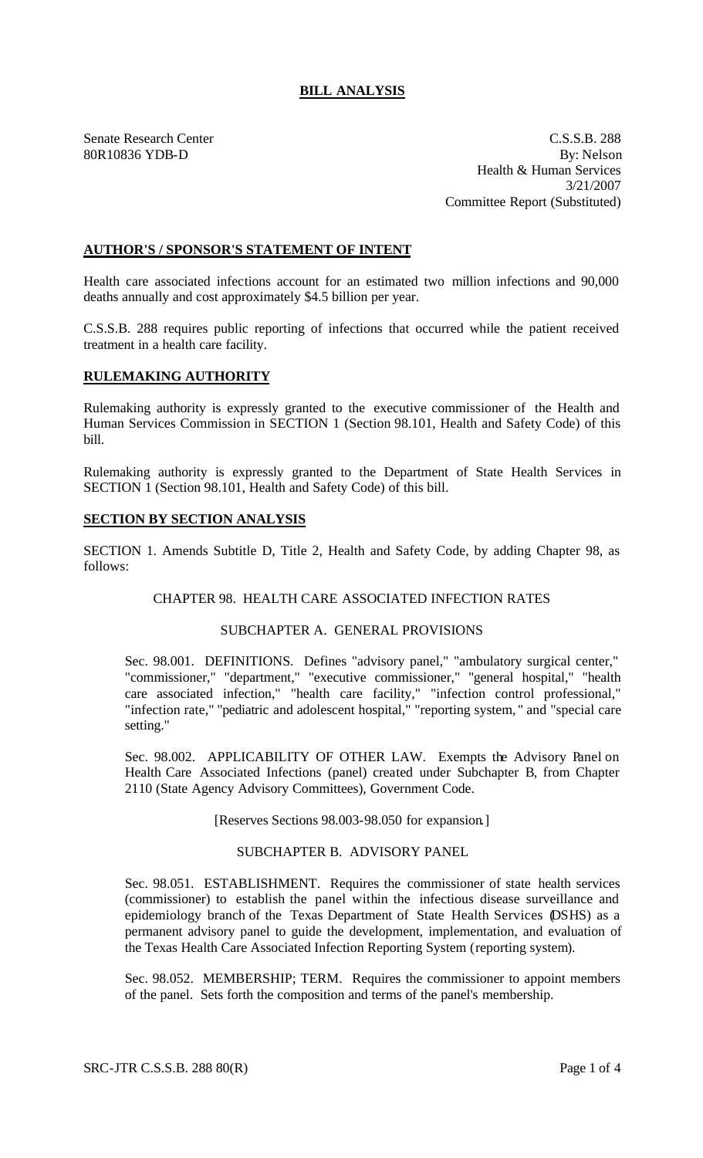# **BILL ANALYSIS**

Senate Research Center C.S.S.B. 288 80R10836 YDB-D By: Nelson Health & Human Services 3/21/2007 Committee Report (Substituted)

### **AUTHOR'S / SPONSOR'S STATEMENT OF INTENT**

Health care associated infections account for an estimated two million infections and 90,000 deaths annually and cost approximately \$4.5 billion per year.

C.S.S.B. 288 requires public reporting of infections that occurred while the patient received treatment in a health care facility.

#### **RULEMAKING AUTHORITY**

Rulemaking authority is expressly granted to the executive commissioner of the Health and Human Services Commission in SECTION 1 (Section 98.101, Health and Safety Code) of this bill.

Rulemaking authority is expressly granted to the Department of State Health Services in SECTION 1 (Section 98.101, Health and Safety Code) of this bill.

#### **SECTION BY SECTION ANALYSIS**

SECTION 1. Amends Subtitle D, Title 2, Health and Safety Code, by adding Chapter 98, as follows:

#### CHAPTER 98. HEALTH CARE ASSOCIATED INFECTION RATES

#### SUBCHAPTER A. GENERAL PROVISIONS

Sec. 98.001. DEFINITIONS. Defines "advisory panel," "ambulatory surgical center," "commissioner," "department," "executive commissioner," "general hospital," "health care associated infection," "health care facility," "infection control professional," "infection rate," "pediatric and adolescent hospital," "reporting system, " and "special care setting."

Sec. 98.002. APPLICABILITY OF OTHER LAW. Exempts the Advisory Panel on Health Care Associated Infections (panel) created under Subchapter B, from Chapter 2110 (State Agency Advisory Committees), Government Code.

[Reserves Sections 98.003-98.050 for expansion.]

## SUBCHAPTER B. ADVISORY PANEL

Sec. 98.051. ESTABLISHMENT. Requires the commissioner of state health services (commissioner) to establish the panel within the infectious disease surveillance and epidemiology branch of the Texas Department of State Health Services (DSHS) as a permanent advisory panel to guide the development, implementation, and evaluation of the Texas Health Care Associated Infection Reporting System (reporting system).

Sec. 98.052. MEMBERSHIP; TERM. Requires the commissioner to appoint members of the panel. Sets forth the composition and terms of the panel's membership.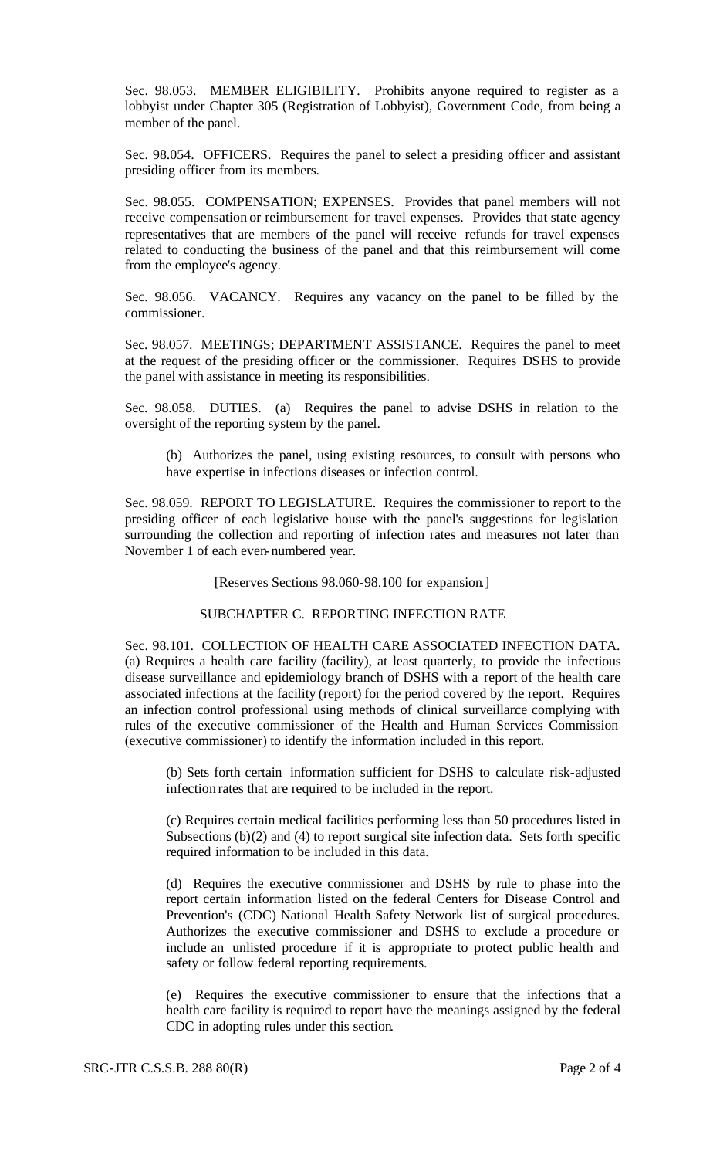Sec. 98.053. MEMBER ELIGIBILITY. Prohibits anyone required to register as a lobbyist under Chapter 305 (Registration of Lobbyist), Government Code, from being a member of the panel.

Sec. 98.054. OFFICERS. Requires the panel to select a presiding officer and assistant presiding officer from its members.

Sec. 98.055. COMPENSATION; EXPENSES. Provides that panel members will not receive compensation or reimbursement for travel expenses. Provides that state agency representatives that are members of the panel will receive refunds for travel expenses related to conducting the business of the panel and that this reimbursement will come from the employee's agency.

Sec. 98.056. VACANCY. Requires any vacancy on the panel to be filled by the commissioner.

Sec. 98.057. MEETINGS; DEPARTMENT ASSISTANCE. Requires the panel to meet at the request of the presiding officer or the commissioner. Requires DSHS to provide the panel with assistance in meeting its responsibilities.

Sec. 98.058. DUTIES. (a) Requires the panel to advise DSHS in relation to the oversight of the reporting system by the panel.

(b) Authorizes the panel, using existing resources, to consult with persons who have expertise in infections diseases or infection control.

Sec. 98.059. REPORT TO LEGISLATURE. Requires the commissioner to report to the presiding officer of each legislative house with the panel's suggestions for legislation surrounding the collection and reporting of infection rates and measures not later than November 1 of each even-numbered year.

[Reserves Sections 98.060-98.100 for expansion.]

#### SUBCHAPTER C. REPORTING INFECTION RATE

Sec. 98.101. COLLECTION OF HEALTH CARE ASSOCIATED INFECTION DATA. (a) Requires a health care facility (facility), at least quarterly, to provide the infectious disease surveillance and epidemiology branch of DSHS with a report of the health care associated infections at the facility (report) for the period covered by the report. Requires an infection control professional using methods of clinical surveillance complying with rules of the executive commissioner of the Health and Human Services Commission (executive commissioner) to identify the information included in this report.

(b) Sets forth certain information sufficient for DSHS to calculate risk-adjusted infection rates that are required to be included in the report.

(c) Requires certain medical facilities performing less than 50 procedures listed in Subsections (b)(2) and (4) to report surgical site infection data. Sets forth specific required information to be included in this data.

(d) Requires the executive commissioner and DSHS by rule to phase into the report certain information listed on the federal Centers for Disease Control and Prevention's (CDC) National Health Safety Network list of surgical procedures. Authorizes the executive commissioner and DSHS to exclude a procedure or include an unlisted procedure if it is appropriate to protect public health and safety or follow federal reporting requirements.

(e) Requires the executive commissioner to ensure that the infections that a health care facility is required to report have the meanings assigned by the federal CDC in adopting rules under this section.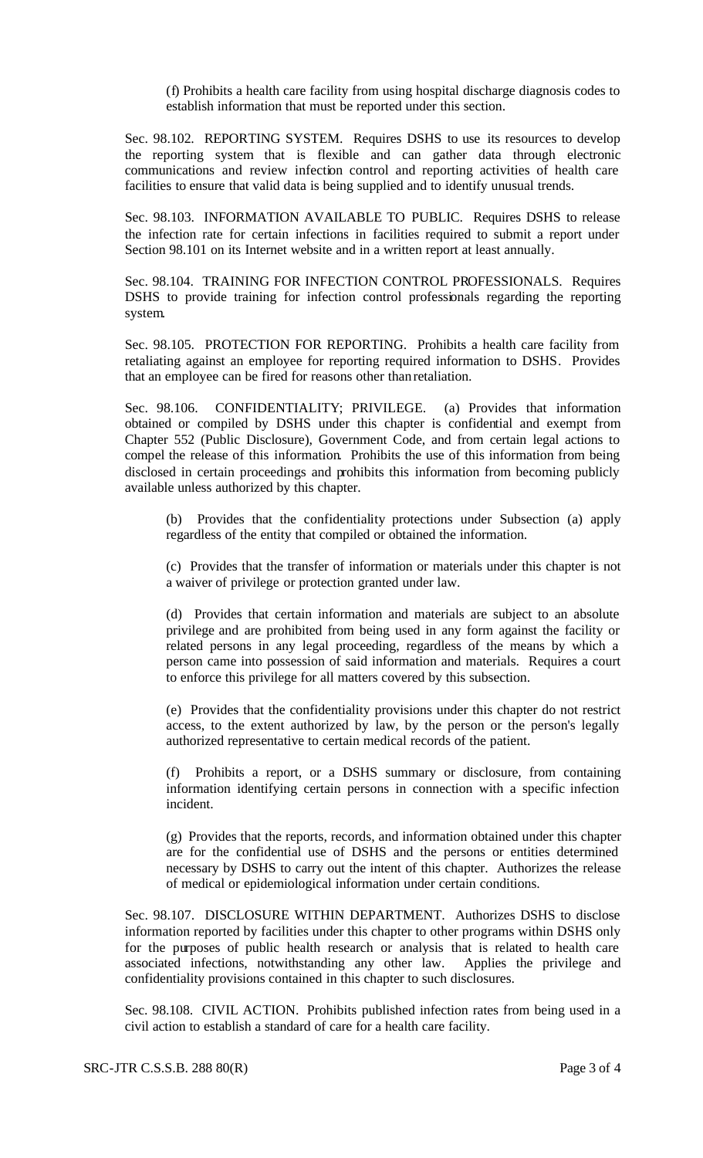(f) Prohibits a health care facility from using hospital discharge diagnosis codes to establish information that must be reported under this section.

Sec. 98.102. REPORTING SYSTEM. Requires DSHS to use its resources to develop the reporting system that is flexible and can gather data through electronic communications and review infection control and reporting activities of health care facilities to ensure that valid data is being supplied and to identify unusual trends.

Sec. 98.103. INFORMATION AVAILABLE TO PUBLIC. Requires DSHS to release the infection rate for certain infections in facilities required to submit a report under Section 98.101 on its Internet website and in a written report at least annually.

Sec. 98.104. TRAINING FOR INFECTION CONTROL PROFESSIONALS. Requires DSHS to provide training for infection control professionals regarding the reporting system.

Sec. 98.105. PROTECTION FOR REPORTING. Prohibits a health care facility from retaliating against an employee for reporting required information to DSHS. Provides that an employee can be fired for reasons other than retaliation.

Sec. 98.106. CONFIDENTIALITY; PRIVILEGE. (a) Provides that information obtained or compiled by DSHS under this chapter is confidential and exempt from Chapter 552 (Public Disclosure), Government Code, and from certain legal actions to compel the release of this information. Prohibits the use of this information from being disclosed in certain proceedings and prohibits this information from becoming publicly available unless authorized by this chapter.

(b) Provides that the confidentiality protections under Subsection (a) apply regardless of the entity that compiled or obtained the information.

(c) Provides that the transfer of information or materials under this chapter is not a waiver of privilege or protection granted under law.

(d) Provides that certain information and materials are subject to an absolute privilege and are prohibited from being used in any form against the facility or related persons in any legal proceeding, regardless of the means by which a person came into possession of said information and materials. Requires a court to enforce this privilege for all matters covered by this subsection.

(e) Provides that the confidentiality provisions under this chapter do not restrict access, to the extent authorized by law, by the person or the person's legally authorized representative to certain medical records of the patient.

(f) Prohibits a report, or a DSHS summary or disclosure, from containing information identifying certain persons in connection with a specific infection incident.

(g) Provides that the reports, records, and information obtained under this chapter are for the confidential use of DSHS and the persons or entities determined necessary by DSHS to carry out the intent of this chapter. Authorizes the release of medical or epidemiological information under certain conditions.

Sec. 98.107. DISCLOSURE WITHIN DEPARTMENT. Authorizes DSHS to disclose information reported by facilities under this chapter to other programs within DSHS only for the purposes of public health research or analysis that is related to health care associated infections, notwithstanding any other law. Applies the privilege and confidentiality provisions contained in this chapter to such disclosures.

Sec. 98.108. CIVIL ACTION. Prohibits published infection rates from being used in a civil action to establish a standard of care for a health care facility.